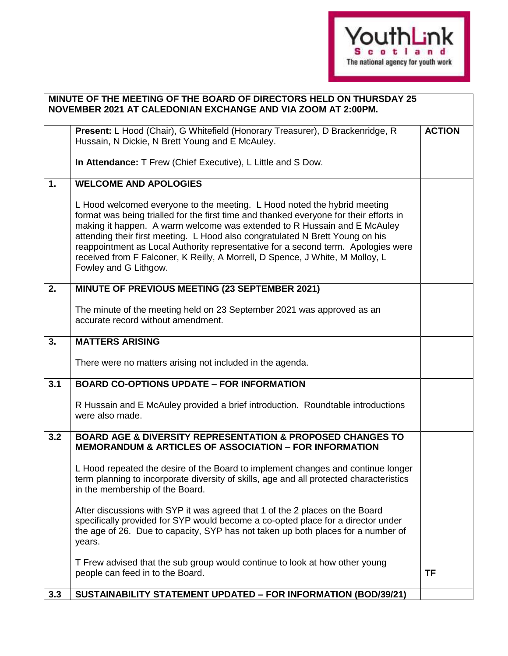

|     | MINUTE OF THE MEETING OF THE BOARD OF DIRECTORS HELD ON THURSDAY 25<br><b>NOVEMBER 2021 AT CALEDONIAN EXCHANGE AND VIA ZOOM AT 2:00PM.</b>                                                                                                                                                                                                                                                                                                                                                                                     |               |  |  |  |
|-----|--------------------------------------------------------------------------------------------------------------------------------------------------------------------------------------------------------------------------------------------------------------------------------------------------------------------------------------------------------------------------------------------------------------------------------------------------------------------------------------------------------------------------------|---------------|--|--|--|
|     | Present: L Hood (Chair), G Whitefield (Honorary Treasurer), D Brackenridge, R<br>Hussain, N Dickie, N Brett Young and E McAuley.                                                                                                                                                                                                                                                                                                                                                                                               | <b>ACTION</b> |  |  |  |
|     | In Attendance: T Frew (Chief Executive), L Little and S Dow.                                                                                                                                                                                                                                                                                                                                                                                                                                                                   |               |  |  |  |
| 1.  | <b>WELCOME AND APOLOGIES</b>                                                                                                                                                                                                                                                                                                                                                                                                                                                                                                   |               |  |  |  |
|     | L Hood welcomed everyone to the meeting. L Hood noted the hybrid meeting<br>format was being trialled for the first time and thanked everyone for their efforts in<br>making it happen. A warm welcome was extended to R Hussain and E McAuley<br>attending their first meeting. L Hood also congratulated N Brett Young on his<br>reappointment as Local Authority representative for a second term. Apologies were<br>received from F Falconer, K Reilly, A Morrell, D Spence, J White, M Molloy, L<br>Fowley and G Lithgow. |               |  |  |  |
| 2.  | MINUTE OF PREVIOUS MEETING (23 SEPTEMBER 2021)                                                                                                                                                                                                                                                                                                                                                                                                                                                                                 |               |  |  |  |
|     | The minute of the meeting held on 23 September 2021 was approved as an<br>accurate record without amendment.                                                                                                                                                                                                                                                                                                                                                                                                                   |               |  |  |  |
| 3.  | <b>MATTERS ARISING</b>                                                                                                                                                                                                                                                                                                                                                                                                                                                                                                         |               |  |  |  |
|     | There were no matters arising not included in the agenda.                                                                                                                                                                                                                                                                                                                                                                                                                                                                      |               |  |  |  |
| 3.1 | <b>BOARD CO-OPTIONS UPDATE - FOR INFORMATION</b>                                                                                                                                                                                                                                                                                                                                                                                                                                                                               |               |  |  |  |
|     | R Hussain and E McAuley provided a brief introduction. Roundtable introductions<br>were also made.                                                                                                                                                                                                                                                                                                                                                                                                                             |               |  |  |  |
| 3.2 | <b>BOARD AGE &amp; DIVERSITY REPRESENTATION &amp; PROPOSED CHANGES TO</b><br><b>MEMORANDUM &amp; ARTICLES OF ASSOCIATION - FOR INFORMATION</b>                                                                                                                                                                                                                                                                                                                                                                                 |               |  |  |  |
|     | L Hood repeated the desire of the Board to implement changes and continue longer<br>term planning to incorporate diversity of skills, age and all protected characteristics<br>in the membership of the Board.                                                                                                                                                                                                                                                                                                                 |               |  |  |  |
|     | After discussions with SYP it was agreed that 1 of the 2 places on the Board<br>specifically provided for SYP would become a co-opted place for a director under<br>the age of 26. Due to capacity, SYP has not taken up both places for a number of<br>years.                                                                                                                                                                                                                                                                 |               |  |  |  |
|     | T Frew advised that the sub group would continue to look at how other young<br>people can feed in to the Board.                                                                                                                                                                                                                                                                                                                                                                                                                | TF            |  |  |  |
| 3.3 | <b>SUSTAINABILITY STATEMENT UPDATED - FOR INFORMATION (BOD/39/21)</b>                                                                                                                                                                                                                                                                                                                                                                                                                                                          |               |  |  |  |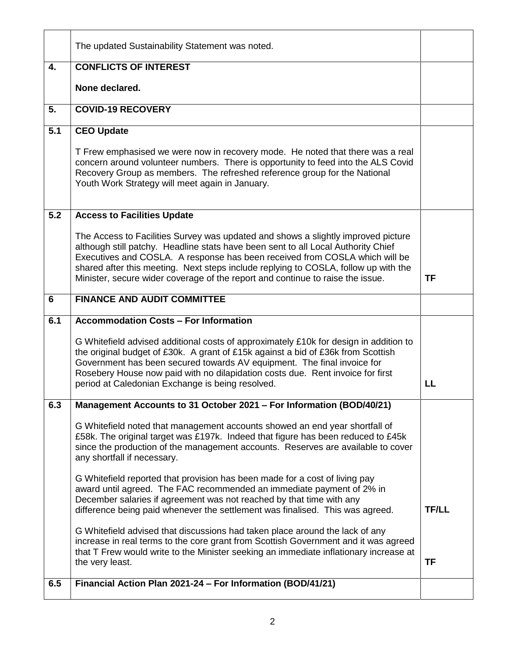|                | The updated Sustainability Statement was noted.                                                                                                                                                                                                                                                                                                                                                                                |              |
|----------------|--------------------------------------------------------------------------------------------------------------------------------------------------------------------------------------------------------------------------------------------------------------------------------------------------------------------------------------------------------------------------------------------------------------------------------|--------------|
| 4.             | <b>CONFLICTS OF INTEREST</b>                                                                                                                                                                                                                                                                                                                                                                                                   |              |
|                | None declared.                                                                                                                                                                                                                                                                                                                                                                                                                 |              |
| 5.             | <b>COVID-19 RECOVERY</b>                                                                                                                                                                                                                                                                                                                                                                                                       |              |
| 5.1            | <b>CEO Update</b>                                                                                                                                                                                                                                                                                                                                                                                                              |              |
|                | T Frew emphasised we were now in recovery mode. He noted that there was a real<br>concern around volunteer numbers. There is opportunity to feed into the ALS Covid<br>Recovery Group as members. The refreshed reference group for the National<br>Youth Work Strategy will meet again in January.                                                                                                                            |              |
| 5.2            | <b>Access to Facilities Update</b>                                                                                                                                                                                                                                                                                                                                                                                             |              |
|                | The Access to Facilities Survey was updated and shows a slightly improved picture<br>although still patchy. Headline stats have been sent to all Local Authority Chief<br>Executives and COSLA. A response has been received from COSLA which will be<br>shared after this meeting. Next steps include replying to COSLA, follow up with the<br>Minister, secure wider coverage of the report and continue to raise the issue. | <b>TF</b>    |
| $6\phantom{a}$ | <b>FINANCE AND AUDIT COMMITTEE</b>                                                                                                                                                                                                                                                                                                                                                                                             |              |
|                |                                                                                                                                                                                                                                                                                                                                                                                                                                |              |
| 6.1            | <b>Accommodation Costs - For Information</b>                                                                                                                                                                                                                                                                                                                                                                                   |              |
|                | G Whitefield advised additional costs of approximately £10k for design in addition to<br>the original budget of £30k. A grant of £15k against a bid of £36k from Scottish<br>Government has been secured towards AV equipment. The final invoice for<br>Rosebery House now paid with no dilapidation costs due. Rent invoice for first<br>period at Caledonian Exchange is being resolved.                                     | LL           |
| 6.3            | Management Accounts to 31 October 2021 - For Information (BOD/40/21)                                                                                                                                                                                                                                                                                                                                                           |              |
|                | G Whitefield noted that management accounts showed an end year shortfall of<br>£58k. The original target was £197k. Indeed that figure has been reduced to £45k<br>since the production of the management accounts. Reserves are available to cover<br>any shortfall if necessary.                                                                                                                                             |              |
|                | G Whitefield reported that provision has been made for a cost of living pay<br>award until agreed. The FAC recommended an immediate payment of 2% in<br>December salaries if agreement was not reached by that time with any<br>difference being paid whenever the settlement was finalised. This was agreed.                                                                                                                  | <b>TF/LL</b> |
|                | G Whitefield advised that discussions had taken place around the lack of any<br>increase in real terms to the core grant from Scottish Government and it was agreed<br>that T Frew would write to the Minister seeking an immediate inflationary increase at<br>the very least.                                                                                                                                                | <b>TF</b>    |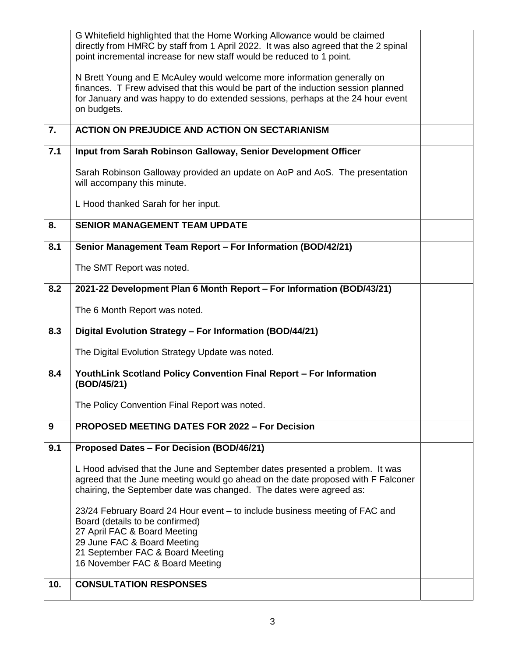|     | G Whitefield highlighted that the Home Working Allowance would be claimed<br>directly from HMRC by staff from 1 April 2022. It was also agreed that the 2 spinal<br>point incremental increase for new staff would be reduced to 1 point.                      |  |
|-----|----------------------------------------------------------------------------------------------------------------------------------------------------------------------------------------------------------------------------------------------------------------|--|
|     | N Brett Young and E McAuley would welcome more information generally on<br>finances. T Frew advised that this would be part of the induction session planned<br>for January and was happy to do extended sessions, perhaps at the 24 hour event<br>on budgets. |  |
| 7.  | <b>ACTION ON PREJUDICE AND ACTION ON SECTARIANISM</b>                                                                                                                                                                                                          |  |
| 7.1 | Input from Sarah Robinson Galloway, Senior Development Officer                                                                                                                                                                                                 |  |
|     | Sarah Robinson Galloway provided an update on AoP and AoS. The presentation<br>will accompany this minute.                                                                                                                                                     |  |
|     | L Hood thanked Sarah for her input.                                                                                                                                                                                                                            |  |
| 8.  | <b>SENIOR MANAGEMENT TEAM UPDATE</b>                                                                                                                                                                                                                           |  |
| 8.1 | Senior Management Team Report - For Information (BOD/42/21)                                                                                                                                                                                                    |  |
|     | The SMT Report was noted.                                                                                                                                                                                                                                      |  |
| 8.2 | 2021-22 Development Plan 6 Month Report - For Information (BOD/43/21)                                                                                                                                                                                          |  |
|     | The 6 Month Report was noted.                                                                                                                                                                                                                                  |  |
| 8.3 | Digital Evolution Strategy - For Information (BOD/44/21)                                                                                                                                                                                                       |  |
|     | The Digital Evolution Strategy Update was noted.                                                                                                                                                                                                               |  |
| 8.4 | YouthLink Scotland Policy Convention Final Report - For Information<br>(BOD/45/21)                                                                                                                                                                             |  |
|     | The Policy Convention Final Report was noted.                                                                                                                                                                                                                  |  |
| 9   | <b>PROPOSED MEETING DATES FOR 2022 - For Decision</b>                                                                                                                                                                                                          |  |
| 9.1 | Proposed Dates - For Decision (BOD/46/21)                                                                                                                                                                                                                      |  |
|     | L Hood advised that the June and September dates presented a problem. It was<br>agreed that the June meeting would go ahead on the date proposed with F Falconer<br>chairing, the September date was changed. The dates were agreed as:                        |  |
|     | 23/24 February Board 24 Hour event - to include business meeting of FAC and<br>Board (details to be confirmed)<br>27 April FAC & Board Meeting                                                                                                                 |  |
|     | 29 June FAC & Board Meeting<br>21 September FAC & Board Meeting                                                                                                                                                                                                |  |
|     | 16 November FAC & Board Meeting                                                                                                                                                                                                                                |  |
| 10. | <b>CONSULTATION RESPONSES</b>                                                                                                                                                                                                                                  |  |